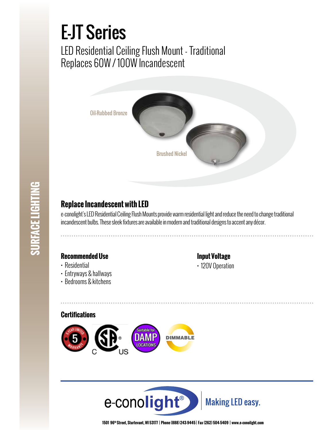# E-JT Series

LED Residential Ceiling Flush Mount - Traditional Replaces 60W / 100W Incandescent



# **SURFACE LIGHTING SURFACE LIGHTING**

### **Replace Incandescent with LED**

e-conolight's LED Residential Ceiling Flush Mounts provide warm residential light and reduce the need to change traditional incandescent bulbs. These sleek fixtures are available in modern and traditional designs to accent any décor.

#### **Recommended Use**

- Residential
- Entryways & hallways
- Bedrooms & kitchens

#### **Input Voltage**

• 120V Operation

#### **Certifications**





**1501 96th Street, Sturtevant, WI 53177 | Phone (888) 243-9445 | Fax (262) 504-5409 | www.e–conolight.com**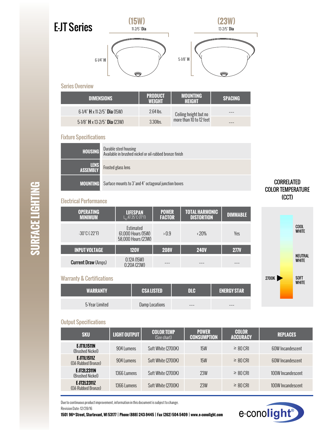

#### **DIMENSIONS PRODUCT WEIGHT MOUNTING HEIGHT SPACING** 6-1/4" <sup>H</sup> x 11-2/5" Dia (15W) 2.64 lbs. Ceiling height but no more than 10 to 12 feet ––– 5-1/8" **H** x 13-2/5" **Dia** (23W) 3.30lbs.

#### Fixture Specifications

| <b>HOUSING</b>          | Durable steel housing<br>Available in brushed nickel or oil-rubbed bronze finish |
|-------------------------|----------------------------------------------------------------------------------|
| <b>TENS</b><br>ASSEMBLY | Frosted glass lens                                                               |
| <b>MOUNTING</b>         | Surface mounts to 3"and 4" octagonal junction boxes                              |

#### Electrical Performance

| <b>OPERATING</b><br><b>MINIMUM</b> | <b>LIFESPAN</b><br>$L_{\rm m}$ AT 25°C (77°F)         | <b>POWER</b><br><b>FACTOR</b> | <b>TOTAL HARMONIC</b><br><b>DISTORTION</b> | <b>DIMMABLE</b> |
|------------------------------------|-------------------------------------------------------|-------------------------------|--------------------------------------------|-----------------|
| $-30^{\circ}$ C ( $-22^{\circ}$ F) | Estimated<br>61,000 Hours (15W)<br>58,000 Hours (23W) | >0.9                          | $\langle 20\%$                             | Yes             |
| <b>INPUT VOLTAGE</b>               | <b>120V</b>                                           | <b>208V</b>                   | <b>240V</b>                                | <b>277V</b>     |
| <b>Current Draw (Amps)</b>         | 0.12A(15W)<br>0.20A (23W)                             |                               |                                            |                 |

#### Warranty & Certifications

| <b>WARRANTY</b> | <b>CSALISTED</b> | nı c | <b>ENERGY STAR</b> |
|-----------------|------------------|------|--------------------|
| 5-Year Limited  | Damp Locations   | ---  | ---                |

# CORRELATED COLOR TEMPERATURE (CCT)



#### Output Specifications

| <b>SKU</b>                               | <b>LIGHT OUTPUT</b> | <b>COLOR TEMP</b><br>(See chart) | <b>POWER</b><br><b>CONSUMPTION</b> | <b>COLOR</b><br><b>ACCURACY</b> | <b>REPLACES</b>   |
|------------------------------------------|---------------------|----------------------------------|------------------------------------|---------------------------------|-------------------|
| E JTILI511N<br>(Brushed Nickel)          | 904 Lumens          | Soft White (2700K)               | <b>15W</b>                         | $\geq 80$ CRI                   | 60W Incandescent  |
| <b>EJT1L1511Z</b><br>(Oil-Rubbed Bronze) | 904 Lumens          | Soft White (2700K)               | <b>15W</b>                         | $\geq 80$ CRI                   | 60W Incandescent  |
| <b>EJT2L2311N</b><br>(Brushed Nickel)    | 1366 Lumens         | Soft White (2700K)               | 23W                                | $\geq 80$ CRI                   | 100W Incandescent |
| EJT2L2311Z<br>(Oil-Rubbed Bronze)        | 1366 Lumens         | Soft White (2700K)               | 23W                                | $\geq 80$ CRI                   | 100W Incandescent |

Due to continuous product improvement, information in this document is subject to change. Revision Date: 12/28/16

**1501 96th Street, Sturtevant, WI 53177 | Phone (888) 243-9445 | Fax (262) 504-5409 | www.e–conolight.com**